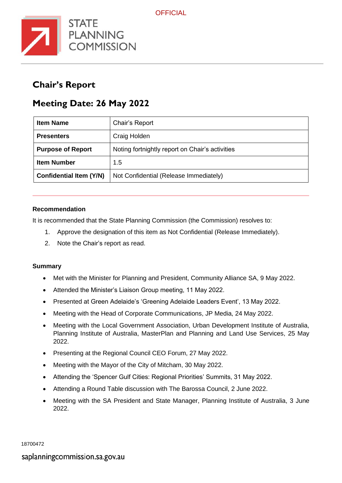

## **Chair's Report**

## **Meeting Date: 26 May 2022**

| <b>Item Name</b>               | Chair's Report                                  |
|--------------------------------|-------------------------------------------------|
| <b>Presenters</b>              | Craig Holden                                    |
| <b>Purpose of Report</b>       | Noting fortnightly report on Chair's activities |
| <b>Item Number</b>             | 1.5                                             |
| <b>Confidential Item (Y/N)</b> | Not Confidential (Release Immediately)          |

## **Recommendation**

It is recommended that the State Planning Commission (the Commission) resolves to:

- 1. Approve the designation of this item as Not Confidential (Release Immediately).
- 2. Note the Chair's report as read.

## **Summary**

- Met with the Minister for Planning and President, Community Alliance SA, 9 May 2022.
- Attended the Minister's Liaison Group meeting, 11 May 2022.
- Presented at Green Adelaide's 'Greening Adelaide Leaders Event', 13 May 2022.
- Meeting with the Head of Corporate Communications, JP Media, 24 May 2022.
- Meeting with the Local Government Association, Urban Development Institute of Australia, Planning Institute of Australia, MasterPlan and Planning and Land Use Services, 25 May 2022.
- Presenting at the Regional Council CEO Forum, 27 May 2022.
- Meeting with the Mayor of the City of Mitcham, 30 May 2022.
- Attending the 'Spencer Gulf Cities: Regional Priorities' Summits, 31 May 2022.
- Attending a Round Table discussion with The Barossa Council, 2 June 2022.
- Meeting with the SA President and State Manager, Planning Institute of Australia, 3 June 2022.

18700472